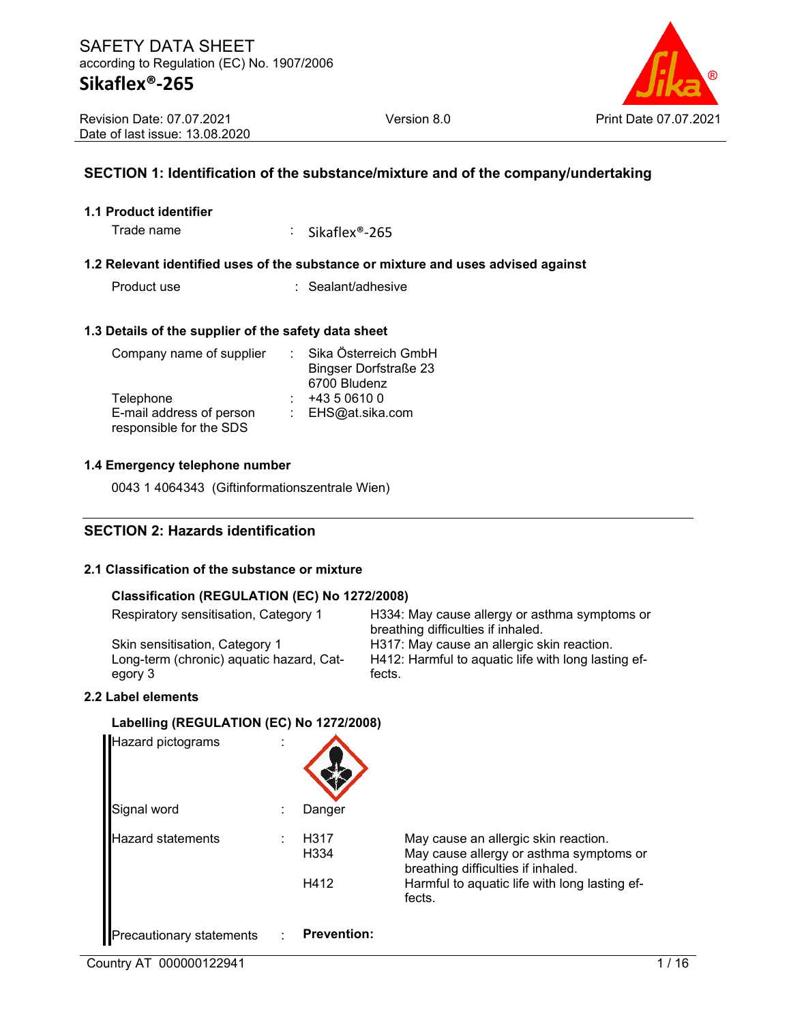

# **SECTION 1: Identification of the substance/mixture and of the company/undertaking**

#### **1.1 Product identifier**

Trade name : Sikaflex<sup>®</sup>-265

#### **1.2 Relevant identified uses of the substance or mixture and uses advised against**

Product use : Sealant/adhesive

#### **1.3 Details of the supplier of the safety data sheet**

| Company name of supplier | Sika Österreich GmbH         |
|--------------------------|------------------------------|
|                          | <b>Bingser Dorfstraße 23</b> |
|                          | 6700 Bludenz                 |
| Telephone                | +43 5 0610 0                 |
| E-mail address of person | : EHS@at.sika.com            |
| responsible for the SDS  |                              |

#### **1.4 Emergency telephone number**

0043 1 4064343 (Giftinformationszentrale Wien)

# **SECTION 2: Hazards identification**

#### **2.1 Classification of the substance or mixture**

#### **Classification (REGULATION (EC) No 1272/2008)**

| Respiratory sensitisation, Category 1    | H334: May cause allergy or asthma symptoms or<br>breathing difficulties if inhaled. |
|------------------------------------------|-------------------------------------------------------------------------------------|
| Skin sensitisation, Category 1           | H317: May cause an allergic skin reaction.                                          |
| Long-term (chronic) aquatic hazard, Cat- | H412: Harmful to aquatic life with long lasting ef-                                 |
| egory 3                                  | fects.                                                                              |
|                                          |                                                                                     |

#### **2.2 Label elements**

#### **Labelling (REGULATION (EC) No 1272/2008)**

| Hazard pictograms               |                          |                                                                                                                       |
|---------------------------------|--------------------------|-----------------------------------------------------------------------------------------------------------------------|
| Signal word                     | Danger                   |                                                                                                                       |
| azard statements                | H317<br>H <sub>334</sub> | May cause an allergic skin reaction.<br>May cause allergy or asthma symptoms or<br>breathing difficulties if inhaled. |
|                                 | H412                     | Harmful to aquatic life with long lasting ef-<br>fects.                                                               |
| <b>Precautionary statements</b> | <b>Prevention:</b>       |                                                                                                                       |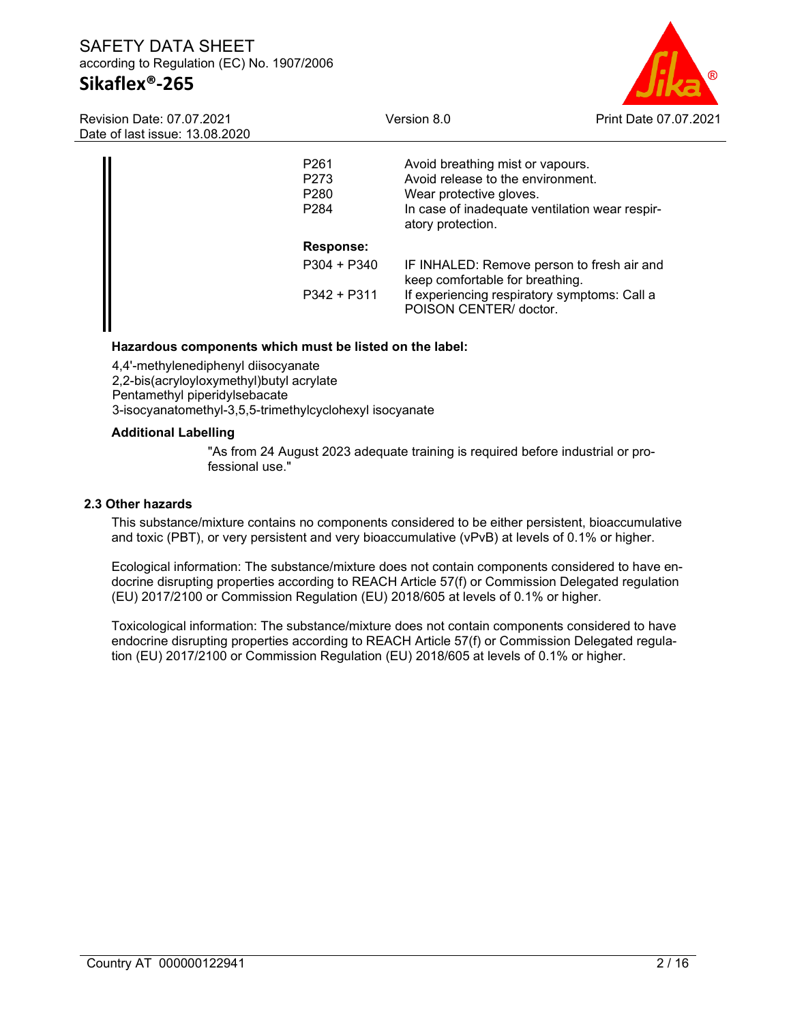# SAFETY DATA SHEET according to Regulation (EC) No. 1907/2006 **Sikaflex®-265**



Revision Date: 07.07.2021 Date of last issue: 13.08.2020

| P <sub>261</sub><br>P <sub>273</sub><br>P <sub>280</sub><br>P <sub>2</sub> 84 | Avoid breathing mist or vapours.<br>Avoid release to the environment.<br>Wear protective gloves.<br>In case of inadequate ventilation wear respir-<br>atory protection. |
|-------------------------------------------------------------------------------|-------------------------------------------------------------------------------------------------------------------------------------------------------------------------|
| <b>Response:</b>                                                              |                                                                                                                                                                         |
| $P304 + P340$                                                                 | IF INHALED: Remove person to fresh air and<br>keep comfortable for breathing.                                                                                           |
| $P342 + P311$                                                                 | If experiencing respiratory symptoms: Call a<br>POISON CENTER/ doctor.                                                                                                  |

#### **Hazardous components which must be listed on the label:**

4,4'-methylenediphenyl diisocyanate 2,2-bis(acryloyloxymethyl)butyl acrylate Pentamethyl piperidylsebacate 3-isocyanatomethyl-3,5,5-trimethylcyclohexyl isocyanate

#### **Additional Labelling**

"As from 24 August 2023 adequate training is required before industrial or professional use."

#### **2.3 Other hazards**

This substance/mixture contains no components considered to be either persistent, bioaccumulative and toxic (PBT), or very persistent and very bioaccumulative (vPvB) at levels of 0.1% or higher.

Ecological information: The substance/mixture does not contain components considered to have endocrine disrupting properties according to REACH Article 57(f) or Commission Delegated regulation (EU) 2017/2100 or Commission Regulation (EU) 2018/605 at levels of 0.1% or higher.

Toxicological information: The substance/mixture does not contain components considered to have endocrine disrupting properties according to REACH Article 57(f) or Commission Delegated regulation (EU) 2017/2100 or Commission Regulation (EU) 2018/605 at levels of 0.1% or higher.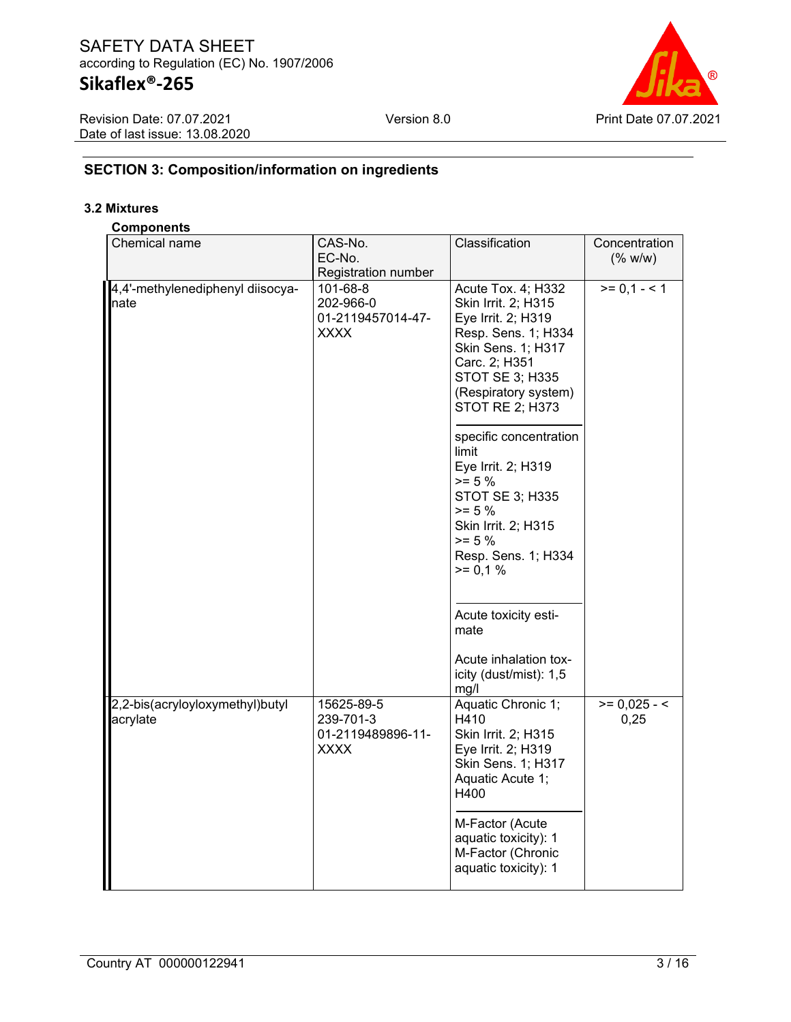# **Sikaflex®-265**

| <b>Revision Date: 07.07.2021</b> |
|----------------------------------|
| Date of last issue: 13.08.2020   |



# **SECTION 3: Composition/information on ingredients**

### **3.2 Mixtures**

## **Components**

| Chemical name                               | CAS-No.<br>EC-No.<br>Registration number                    | Classification                                                                                                                                                                                                                                                                                                                                                                                                                     | Concentration<br>$(%$ (% w/w) |
|---------------------------------------------|-------------------------------------------------------------|------------------------------------------------------------------------------------------------------------------------------------------------------------------------------------------------------------------------------------------------------------------------------------------------------------------------------------------------------------------------------------------------------------------------------------|-------------------------------|
| 4,4'-methylenediphenyl diisocya-<br>nate    | 101-68-8<br>202-966-0<br>01-2119457014-47-<br><b>XXXX</b>   | Acute Tox. 4; H332<br>Skin Irrit. 2; H315<br>Eye Irrit. 2; H319<br>Resp. Sens. 1; H334<br>Skin Sens. 1; H317<br>Carc. 2; H351<br>STOT SE 3; H335<br>(Respiratory system)<br>STOT RE 2; H373<br>specific concentration<br>limit<br>Eye Irrit. 2; H319<br>$>= 5 \%$<br>STOT SE 3; H335<br>$>= 5 \%$<br>Skin Irrit. 2; H315<br>$>= 5 \%$<br>Resp. Sens. 1; H334<br>$>= 0,1%$<br>Acute toxicity esti-<br>mate<br>Acute inhalation tox- | $>= 0,1 - 1$                  |
| 2,2-bis(acryloyloxymethyl)butyl<br>acrylate | 15625-89-5<br>239-701-3<br>01-2119489896-11-<br><b>XXXX</b> | icity (dust/mist): 1,5<br>mg/l<br>Aquatic Chronic 1;<br>H410<br>Skin Irrit. 2; H315<br>Eye Irrit. 2; H319                                                                                                                                                                                                                                                                                                                          | $>= 0,025 - 5$<br>0,25        |
|                                             |                                                             | Skin Sens. 1; H317<br>Aquatic Acute 1;<br>H400<br>M-Factor (Acute<br>aquatic toxicity): 1<br>M-Factor (Chronic<br>aquatic toxicity): 1                                                                                                                                                                                                                                                                                             |                               |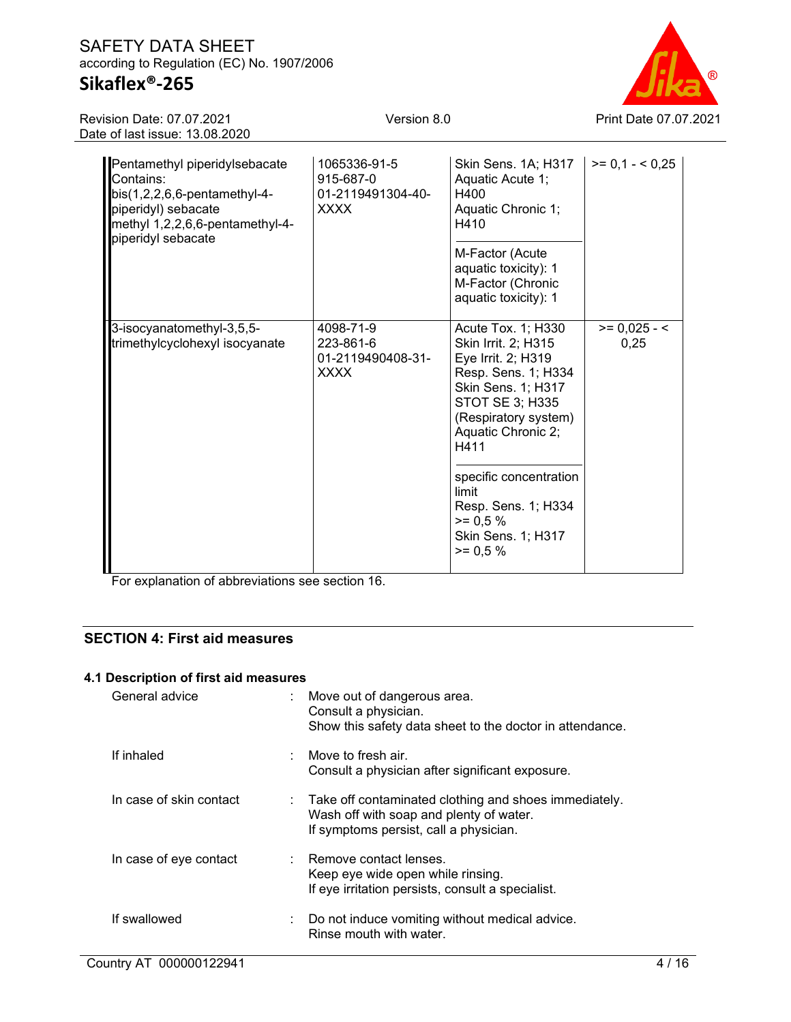# **Sikaflex®-265**

Version 8.0 Print Date 07.07.2021

Revision Date: 07.07.2021 Date of last issue: 13.08.2020

| Pentamethyl piperidylsebacate<br>Contains:<br>$bis(1,2,2,6,6-pentamentlyl-4-$<br>piperidyl) sebacate<br>methyl 1,2,2,6,6-pentamethyl-4-<br>piperidyl sebacate | 1065336-91-5<br>915-687-0<br>01-2119491304-40-<br><b>XXXX</b> | Skin Sens. 1A; H317<br>Aquatic Acute 1;<br>H400<br>Aquatic Chronic 1;<br>H410<br>M-Factor (Acute<br>aquatic toxicity): 1<br>M-Factor (Chronic<br>aquatic toxicity): 1                                                                                                                             | $>= 0.1 - 5.25$        |
|---------------------------------------------------------------------------------------------------------------------------------------------------------------|---------------------------------------------------------------|---------------------------------------------------------------------------------------------------------------------------------------------------------------------------------------------------------------------------------------------------------------------------------------------------|------------------------|
| 3-isocyanatomethyl-3,5,5-<br>trimethylcyclohexyl isocyanate                                                                                                   | 4098-71-9<br>223-861-6<br>01-2119490408-31-<br><b>XXXX</b>    | Acute Tox. 1; H330<br>Skin Irrit. 2; H315<br>Eye Irrit. 2; H319<br>Resp. Sens. 1; H334<br>Skin Sens. 1; H317<br>STOT SE 3; H335<br>(Respiratory system)<br>Aquatic Chronic 2;<br>H411<br>specific concentration<br>limit<br>Resp. Sens. 1; H334<br>$>= 0.5 %$<br>Skin Sens. 1; H317<br>$>= 0.5 %$ | $>= 0,025 - 5$<br>0,25 |

For explanation of abbreviations see section 16.

# **SECTION 4: First aid measures**

### **4.1 Description of first aid measures**

| General advice          | : Move out of dangerous area.<br>Consult a physician.<br>Show this safety data sheet to the doctor in attendance.                                       |
|-------------------------|---------------------------------------------------------------------------------------------------------------------------------------------------------|
| If inhaled              | $\therefore$ Move to fresh air.<br>Consult a physician after significant exposure.                                                                      |
| In case of skin contact | $\therefore$ Take off contaminated clothing and shoes immediately.<br>Wash off with soap and plenty of water.<br>If symptoms persist, call a physician. |
| In case of eye contact  | : Remove contact lenses.<br>Keep eye wide open while rinsing.<br>If eye irritation persists, consult a specialist.                                      |
| If swallowed            | : Do not induce vomiting without medical advice.<br>Rinse mouth with water.                                                                             |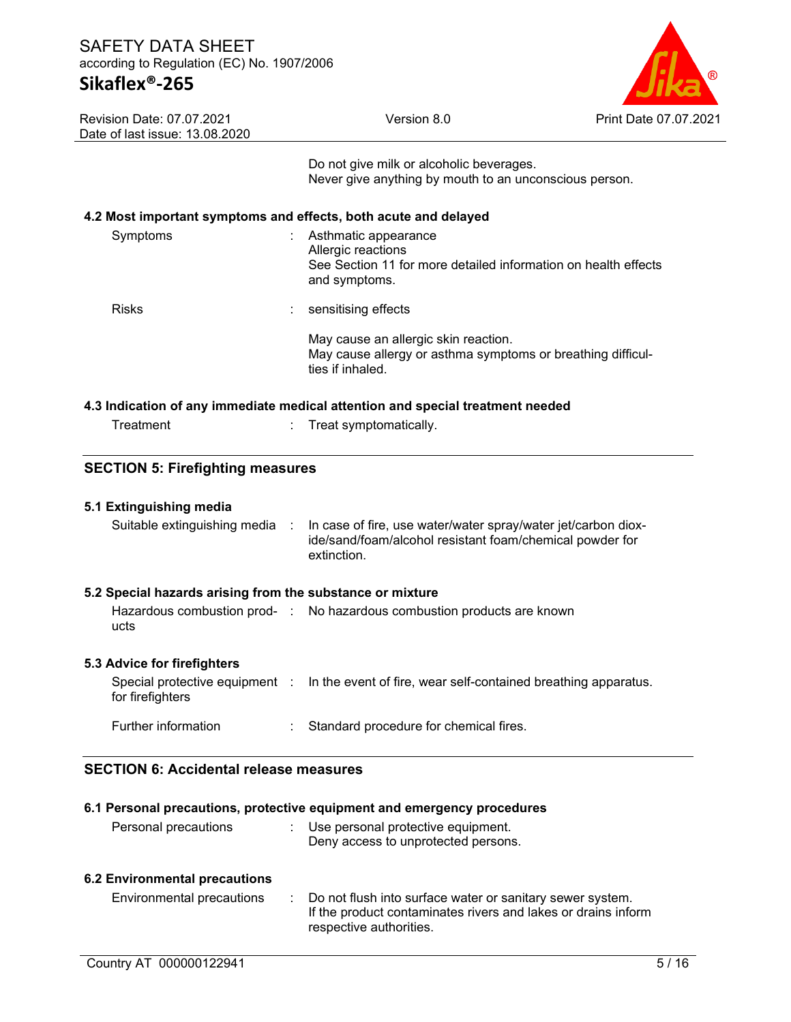

| <b>Revision Date: 07.07.2021</b> |
|----------------------------------|
| Date of last issue: 13.08.2020   |

Do not give milk or alcoholic beverages. Never give anything by mouth to an unconscious person.

### **4.2 Most important symptoms and effects, both acute and delayed**

| Symptoms                                                                       | Asthmatic appearance<br>Allergic reactions<br>See Section 11 for more detailed information on health effects<br>and symptoms. |  |  |
|--------------------------------------------------------------------------------|-------------------------------------------------------------------------------------------------------------------------------|--|--|
| <b>Risks</b>                                                                   | sensitising effects                                                                                                           |  |  |
|                                                                                | May cause an allergic skin reaction.<br>May cause allergy or asthma symptoms or breathing difficul-<br>ties if inhaled.       |  |  |
| 4.3 Indication of any immediate medical attention and special treatment needed |                                                                                                                               |  |  |

| Treatment |  | Treat symptomatically. |
|-----------|--|------------------------|

## **SECTION 5: Firefighting measures**

| 5.1 Extinguishing media                                   |    |                                                                                                                                          |
|-----------------------------------------------------------|----|------------------------------------------------------------------------------------------------------------------------------------------|
| Suitable extinguishing media :                            |    | In case of fire, use water/water spray/water jet/carbon diox-<br>ide/sand/foam/alcohol resistant foam/chemical powder for<br>extinction. |
| 5.2 Special hazards arising from the substance or mixture |    |                                                                                                                                          |
| ucts                                                      |    | Hazardous combustion prod- : No hazardous combustion products are known                                                                  |
| 5.3 Advice for firefighters                               |    |                                                                                                                                          |
| for firefighters                                          |    | Special protective equipment : In the event of fire, wear self-contained breathing apparatus.                                            |
| Further information                                       | ÷. | Standard procedure for chemical fires.                                                                                                   |

# **SECTION 6: Accidental release measures**

| 6.1 Personal precautions, protective equipment and emergency procedures<br>Personal precautions<br>Use personal protective equipment.<br>Deny access to unprotected persons. |  |                                                                                                                                                       |  |  |
|------------------------------------------------------------------------------------------------------------------------------------------------------------------------------|--|-------------------------------------------------------------------------------------------------------------------------------------------------------|--|--|
| <b>6.2 Environmental precautions</b><br>Environmental precautions                                                                                                            |  | Do not flush into surface water or sanitary sewer system.<br>If the product contaminates rivers and lakes or drains inform<br>respective authorities. |  |  |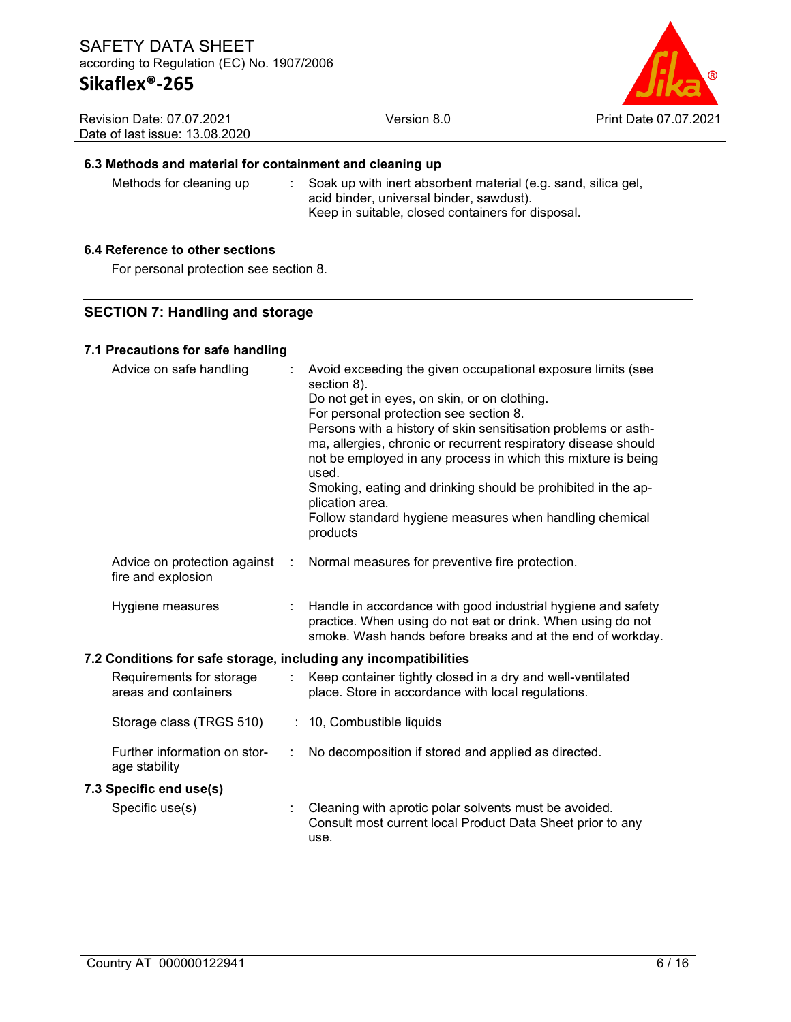

| <b>Revision Date: 07.07.2021</b> |  |
|----------------------------------|--|
| Date of last issue: 13.08.2020   |  |

### **6.3 Methods and material for containment and cleaning up**

Methods for cleaning up : Soak up with inert absorbent material (e.g. sand, silica gel, acid binder, universal binder, sawdust).

### Keep in suitable, closed containers for disposal.

### **6.4 Reference to other sections**

For personal protection see section 8.

### **SECTION 7: Handling and storage**

#### **7.1 Precautions for safe handling**

| Advice on safe handling                                          |   | Avoid exceeding the given occupational exposure limits (see<br>section 8).<br>Do not get in eyes, on skin, or on clothing.<br>For personal protection see section 8.<br>Persons with a history of skin sensitisation problems or asth-<br>ma, allergies, chronic or recurrent respiratory disease should<br>not be employed in any process in which this mixture is being<br>used.<br>Smoking, eating and drinking should be prohibited in the ap-<br>plication area.<br>Follow standard hygiene measures when handling chemical<br>products |
|------------------------------------------------------------------|---|----------------------------------------------------------------------------------------------------------------------------------------------------------------------------------------------------------------------------------------------------------------------------------------------------------------------------------------------------------------------------------------------------------------------------------------------------------------------------------------------------------------------------------------------|
| Advice on protection against<br>÷<br>fire and explosion          |   | Normal measures for preventive fire protection.                                                                                                                                                                                                                                                                                                                                                                                                                                                                                              |
| Hygiene measures                                                 |   | Handle in accordance with good industrial hygiene and safety<br>practice. When using do not eat or drink. When using do not<br>smoke. Wash hands before breaks and at the end of workday.                                                                                                                                                                                                                                                                                                                                                    |
| 7.2 Conditions for safe storage, including any incompatibilities |   |                                                                                                                                                                                                                                                                                                                                                                                                                                                                                                                                              |
| Requirements for storage<br>areas and containers                 |   | Keep container tightly closed in a dry and well-ventilated<br>place. Store in accordance with local regulations.                                                                                                                                                                                                                                                                                                                                                                                                                             |
| Storage class (TRGS 510)                                         |   | : 10, Combustible liquids                                                                                                                                                                                                                                                                                                                                                                                                                                                                                                                    |
| Further information on stor-<br>age stability                    | ÷ | No decomposition if stored and applied as directed.                                                                                                                                                                                                                                                                                                                                                                                                                                                                                          |
| 7.3 Specific end use(s)                                          |   |                                                                                                                                                                                                                                                                                                                                                                                                                                                                                                                                              |
| Specific use(s)                                                  |   | Cleaning with aprotic polar solvents must be avoided.<br>Consult most current local Product Data Sheet prior to any                                                                                                                                                                                                                                                                                                                                                                                                                          |

use.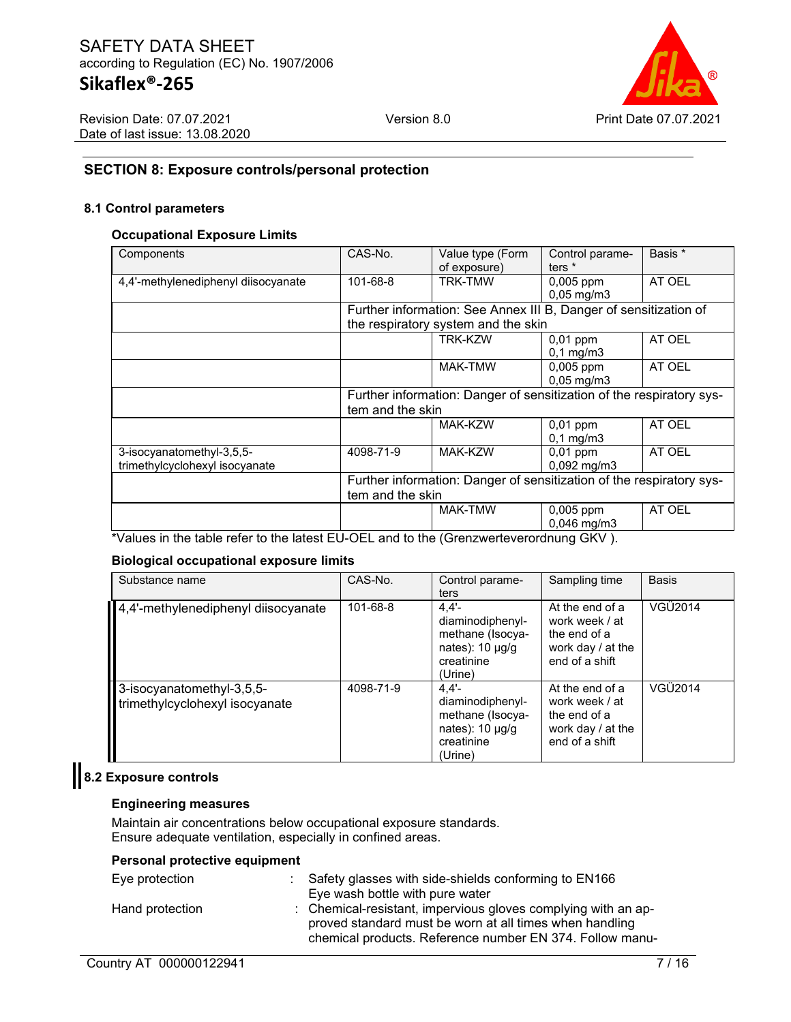

# **SECTION 8: Exposure controls/personal protection**

#### **8.1 Control parameters**

#### **Occupational Exposure Limits**

| Components                                                  | CAS-No.                                                                                  | Value type (Form<br>of exposure)                                 | Control parame-<br>ters $*$          | Basis * |
|-------------------------------------------------------------|------------------------------------------------------------------------------------------|------------------------------------------------------------------|--------------------------------------|---------|
| 4,4'-methylenediphenyl diisocyanate                         | 101-68-8                                                                                 | <b>TRK-TMW</b>                                                   | $0,005$ ppm<br>$0,05$ mg/m3          | AT OEL  |
|                                                             |                                                                                          | Further information: See Annex III B, Danger of sensitization of |                                      |         |
|                                                             |                                                                                          | the respiratory system and the skin                              |                                      |         |
|                                                             |                                                                                          | <b>TRK-KZW</b>                                                   | $0,01$ ppm<br>$0,1$ mg/m $3$         | AT OEL  |
|                                                             |                                                                                          | <b>MAK-TMW</b>                                                   | $0,005$ ppm<br>$0,05$ mg/m3          | AT OEL  |
|                                                             | Further information: Danger of sensitization of the respiratory sys-<br>tem and the skin |                                                                  |                                      |         |
|                                                             |                                                                                          | MAK-KZW                                                          | $0,01$ ppm<br>$0,1$ mg/m $3$         | AT OEL  |
| 3-isocyanatomethyl-3,5,5-<br>trimethylcyclohexyl isocyanate | 4098-71-9                                                                                | <b>MAK-KZW</b>                                                   | $0,01$ ppm<br>$0.092 \text{ mg/m}$ 3 | AT OEL  |
|                                                             | Further information: Danger of sensitization of the respiratory sys-<br>tem and the skin |                                                                  |                                      |         |
|                                                             |                                                                                          | <b>MAK-TMW</b>                                                   | $0,005$ ppm<br>0,046 mg/m3           | AT OEL  |

\*Values in the table refer to the latest EU-OEL and to the (Grenzwerteverordnung GKV ).

#### **Biological occupational exposure limits**

| Substance name                                              | CAS-No.   | Control parame-<br>ters                                                                       | Sampling time                                                                            | <b>Basis</b> |
|-------------------------------------------------------------|-----------|-----------------------------------------------------------------------------------------------|------------------------------------------------------------------------------------------|--------------|
| 4,4'-methylenediphenyl diisocyanate                         | 101-68-8  | 4.4'<br>diaminodiphenyl-<br>methane (Isocya-<br>nates): $10 \mu g/g$<br>creatinine<br>(Urine) | At the end of a<br>work week / at<br>the end of a<br>work day / at the<br>end of a shift | VGÜ2014      |
| 3-isocyanatomethyl-3,5,5-<br>trimethylcyclohexyl isocyanate | 4098-71-9 | 4.4'<br>diaminodiphenyl-<br>methane (Isocya-<br>nates): $10 \mu g/g$<br>creatinine<br>(Urine) | At the end of a<br>work week / at<br>the end of a<br>work day / at the<br>end of a shift | VGÜ2014      |

# **8.2 Exposure controls**

#### **Engineering measures**

Maintain air concentrations below occupational exposure standards. Ensure adequate ventilation, especially in confined areas.

### **Personal protective equipment**

| Eye protection  | : Safety glasses with side-shields conforming to EN166<br>Eye wash bottle with pure water                                                                                            |
|-----------------|--------------------------------------------------------------------------------------------------------------------------------------------------------------------------------------|
| Hand protection | : Chemical-resistant, impervious gloves complying with an ap-<br>proved standard must be worn at all times when handling<br>chemical products. Reference number EN 374. Follow manu- |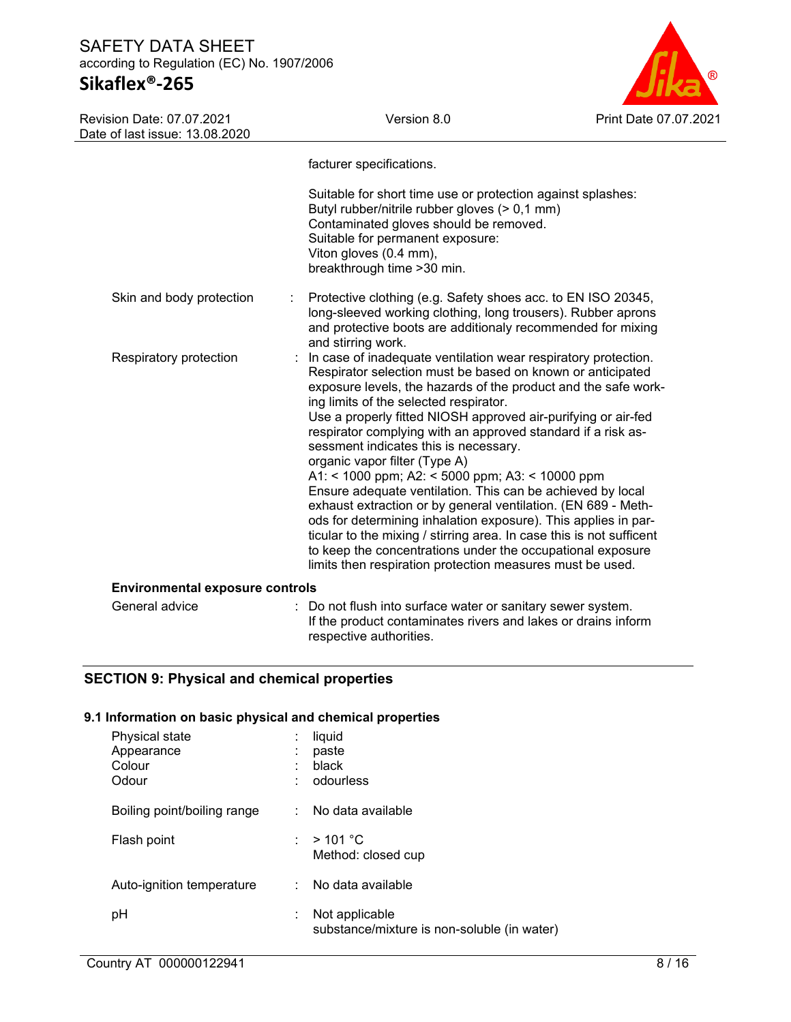# **Sikaflex®-265**

Revision Date: 07.07.2021

Version 8.0 Print Date 07.07.2021

| Date of last issue: 13.08.2020         |                                                                                                                                                                                                                                                                                                                                                                                                                                                                                                                                                                                                                                                                                                                                                                                                                                                                                                            |
|----------------------------------------|------------------------------------------------------------------------------------------------------------------------------------------------------------------------------------------------------------------------------------------------------------------------------------------------------------------------------------------------------------------------------------------------------------------------------------------------------------------------------------------------------------------------------------------------------------------------------------------------------------------------------------------------------------------------------------------------------------------------------------------------------------------------------------------------------------------------------------------------------------------------------------------------------------|
|                                        | facturer specifications.                                                                                                                                                                                                                                                                                                                                                                                                                                                                                                                                                                                                                                                                                                                                                                                                                                                                                   |
|                                        | Suitable for short time use or protection against splashes:<br>Butyl rubber/nitrile rubber gloves (> 0,1 mm)<br>Contaminated gloves should be removed.<br>Suitable for permanent exposure:<br>Viton gloves (0.4 mm),<br>breakthrough time >30 min.                                                                                                                                                                                                                                                                                                                                                                                                                                                                                                                                                                                                                                                         |
| Skin and body protection               | Protective clothing (e.g. Safety shoes acc. to EN ISO 20345,<br>long-sleeved working clothing, long trousers). Rubber aprons<br>and protective boots are additionaly recommended for mixing<br>and stirring work.                                                                                                                                                                                                                                                                                                                                                                                                                                                                                                                                                                                                                                                                                          |
| Respiratory protection                 | In case of inadequate ventilation wear respiratory protection.<br>Respirator selection must be based on known or anticipated<br>exposure levels, the hazards of the product and the safe work-<br>ing limits of the selected respirator.<br>Use a properly fitted NIOSH approved air-purifying or air-fed<br>respirator complying with an approved standard if a risk as-<br>sessment indicates this is necessary.<br>organic vapor filter (Type A)<br>A1: < 1000 ppm; A2: < 5000 ppm; A3: < 10000 ppm<br>Ensure adequate ventilation. This can be achieved by local<br>exhaust extraction or by general ventilation. (EN 689 - Meth-<br>ods for determining inhalation exposure). This applies in par-<br>ticular to the mixing / stirring area. In case this is not sufficent<br>to keep the concentrations under the occupational exposure<br>limits then respiration protection measures must be used. |
| <b>Environmental exposure controls</b> |                                                                                                                                                                                                                                                                                                                                                                                                                                                                                                                                                                                                                                                                                                                                                                                                                                                                                                            |
| General advice                         | Do not flush into surface water or sanitary sewer system.<br>If the product contaminates rivers and lakes or drains inform<br>respective authorities.                                                                                                                                                                                                                                                                                                                                                                                                                                                                                                                                                                                                                                                                                                                                                      |

# **SECTION 9: Physical and chemical properties**

# **9.1 Information on basic physical and chemical properties**

| Physical state<br>Appearance<br>Colour<br>Odour | liquid<br>paste<br>black<br>odourless                         |  |
|-------------------------------------------------|---------------------------------------------------------------|--|
| Boiling point/boiling range                     | No data available                                             |  |
| Flash point                                     | : $>101^{\circ}$ C<br>Method: closed cup                      |  |
| Auto-ignition temperature                       | No data available                                             |  |
| рH                                              | Not applicable<br>substance/mixture is non-soluble (in water) |  |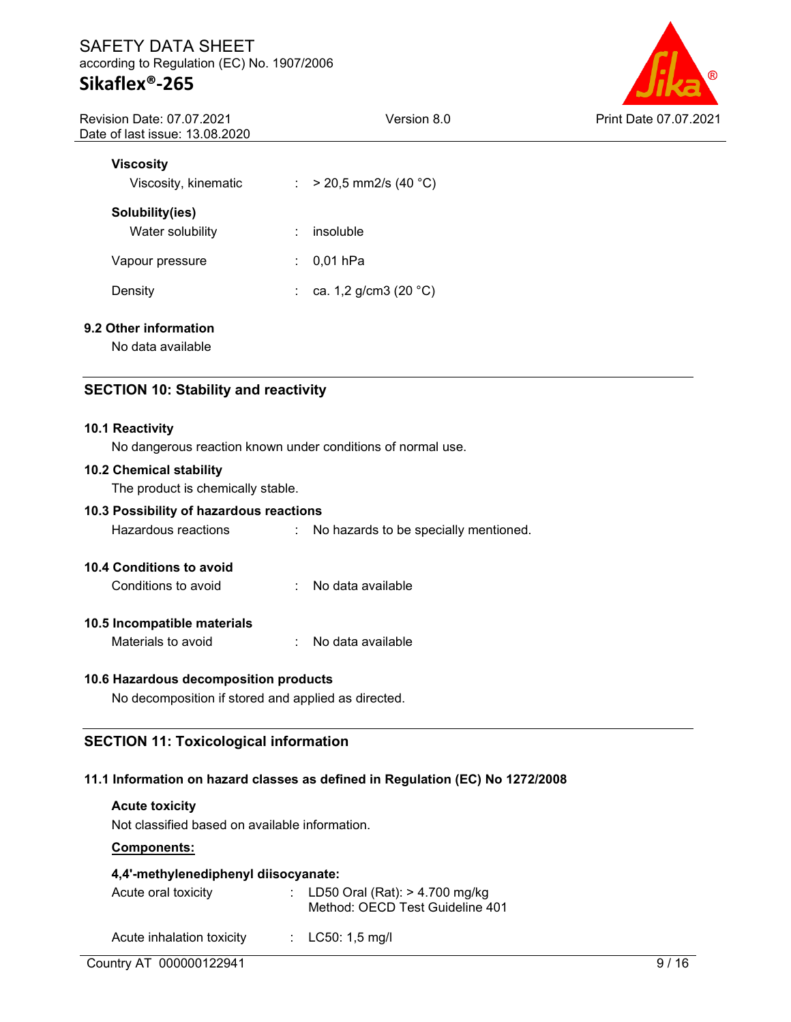# **Sikaflex®-265**

Version 8.0 Print Date 07.07.2021

| Revision Date: 07.07.2021      |  |
|--------------------------------|--|
| Date of last issue: 13.08.2020 |  |

| Viscosity<br>Viscosity, kinematic   | $>$ 20,5 mm2/s (40 °C) |
|-------------------------------------|------------------------|
| Solubility(ies)<br>Water solubility | insoluble<br>٠         |
| Vapour pressure                     | $0,01$ hPa<br>÷        |
| Density                             | ca. 1,2 g/cm3 (20 °C)  |

## **9.2 Other information**

No data available

# **SECTION 10: Stability and reactivity**

#### **10.1 Reactivity**

No dangerous reaction known under conditions of normal use.

#### **10.2 Chemical stability**

The product is chemically stable.

# **10.3 Possibility of hazardous reactions**

Hazardous reactions : No hazards to be specially mentioned.

#### **10.4 Conditions to avoid**

Conditions to avoid : No data available

#### **10.5 Incompatible materials**

Materials to avoid : No data available

#### **10.6 Hazardous decomposition products**

No decomposition if stored and applied as directed.

### **SECTION 11: Toxicological information**

#### **11.1 Information on hazard classes as defined in Regulation (EC) No 1272/2008**

#### **Acute toxicity**

Not classified based on available information.

#### **Components:**

### **4,4'-methylenediphenyl diisocyanate:**

| Acute oral toxicity       |  | : LD50 Oral (Rat): $> 4.700$ mg/kg<br>Method: OECD Test Guideline 401 |  |
|---------------------------|--|-----------------------------------------------------------------------|--|
| Acute inhalation toxicity |  | : $LC50: 1,5 \text{ mg/l}$                                            |  |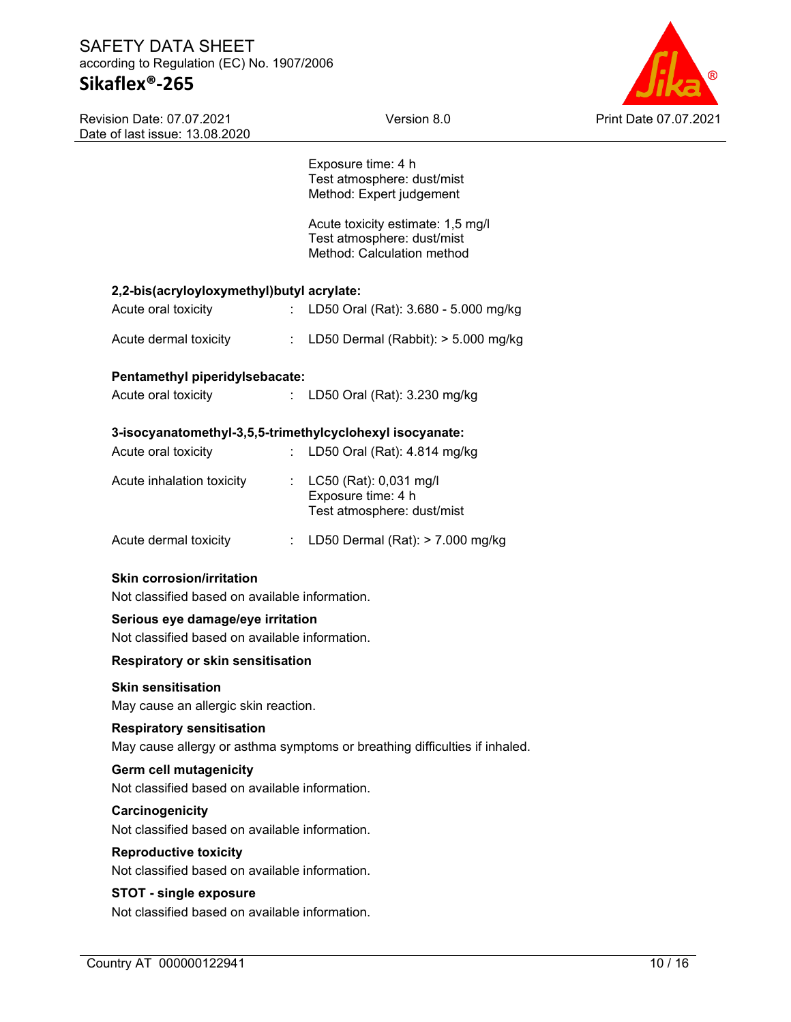# SAFETY DATA SHEET according to Regulation (EC) No. 1907/2006 **Sikaflex®-265**

Revision Date: 07.07.2021 Date of last issue: 13.08.2020



|                                                                                     |   | Exposure time: 4 h<br>Test atmosphere: dust/mist<br>Method: Expert judgement                  |       |
|-------------------------------------------------------------------------------------|---|-----------------------------------------------------------------------------------------------|-------|
|                                                                                     |   | Acute toxicity estimate: 1,5 mg/l<br>Test atmosphere: dust/mist<br>Method: Calculation method |       |
| 2,2-bis(acryloyloxymethyl)butyl acrylate:                                           |   |                                                                                               |       |
| Acute oral toxicity                                                                 |   | : LD50 Oral (Rat): 3.680 - 5.000 mg/kg                                                        |       |
| Acute dermal toxicity                                                               |   | : LD50 Dermal (Rabbit): $> 5.000$ mg/kg                                                       |       |
| Pentamethyl piperidylsebacate:                                                      |   |                                                                                               |       |
| Acute oral toxicity                                                                 |   | : LD50 Oral (Rat): 3.230 mg/kg                                                                |       |
| 3-isocyanatomethyl-3,5,5-trimethylcyclohexyl isocyanate:                            |   |                                                                                               |       |
| Acute oral toxicity                                                                 |   | : LD50 Oral (Rat): $4.814$ mg/kg                                                              |       |
| Acute inhalation toxicity                                                           |   | : LC50 (Rat): 0,031 mg/l<br>Exposure time: 4 h<br>Test atmosphere: dust/mist                  |       |
| Acute dermal toxicity                                                               | ÷ | LD50 Dermal (Rat): $>$ 7.000 mg/kg                                                            |       |
| <b>Skin corrosion/irritation</b><br>Not classified based on available information.  |   |                                                                                               |       |
| Serious eye damage/eye irritation<br>Not classified based on available information. |   |                                                                                               |       |
| <b>Respiratory or skin sensitisation</b>                                            |   |                                                                                               |       |
| <b>Skin sensitisation</b><br>May cause an allergic skin reaction.                   |   |                                                                                               |       |
| <b>Respiratory sensitisation</b>                                                    |   | May cause allergy or asthma symptoms or breathing difficulties if inhaled.                    |       |
| <b>Germ cell mutagenicity</b><br>Not classified based on available information.     |   |                                                                                               |       |
| Carcinogenicity<br>Not classified based on available information.                   |   |                                                                                               |       |
| <b>Reproductive toxicity</b><br>Not classified based on available information.      |   |                                                                                               |       |
| <b>STOT - single exposure</b><br>Not classified based on available information.     |   |                                                                                               |       |
| Country AT 000000122941                                                             |   |                                                                                               | 10/16 |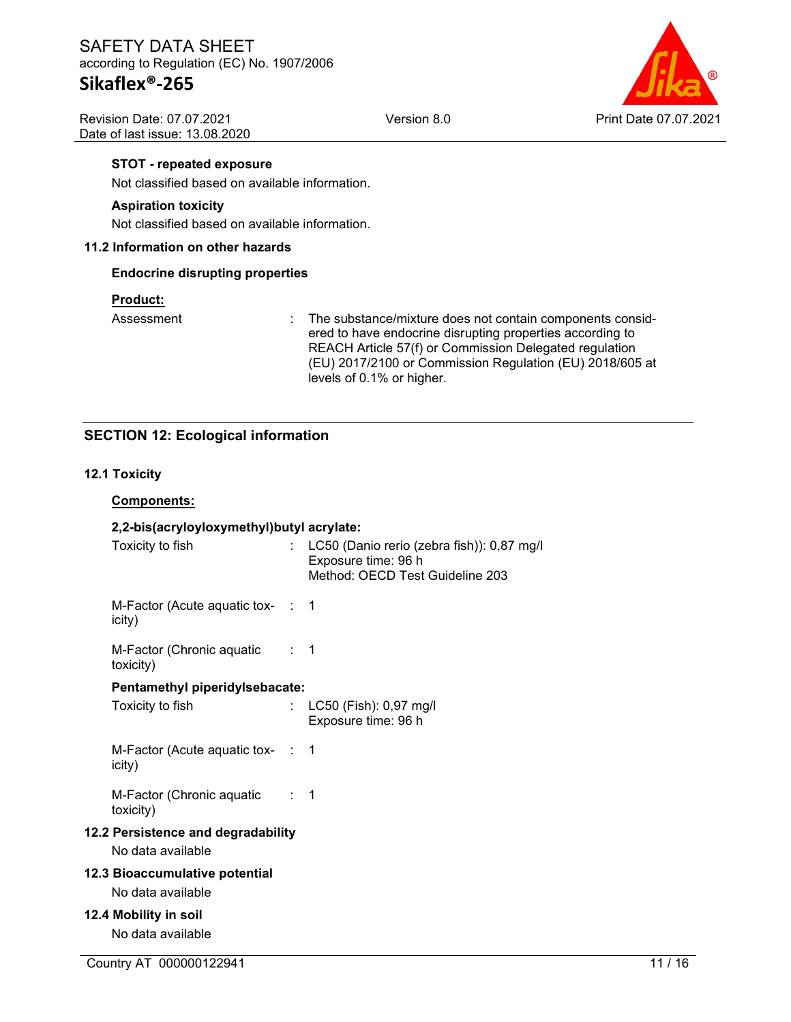Revision Date: 07.07.2021 Date of last issue: 13.08.2020



#### **STOT - repeated exposure**

Not classified based on available information.

#### **Aspiration toxicity**

Not classified based on available information.

#### **11.2 Information on other hazards**

#### **Endocrine disrupting properties**

#### **Product:**

Assessment : The substance/mixture does not contain components considered to have endocrine disrupting properties according to REACH Article 57(f) or Commission Delegated regulation (EU) 2017/2100 or Commission Regulation (EU) 2018/605 at levels of 0.1% or higher.

## **SECTION 12: Ecological information**

#### **12.1 Toxicity**

# Country AT 000000122941 11 20 10 11 20 10 11 20 11 20 12:00 12:00 12:00 12:00 12:00 12:00 12:00 12:00 12:00 12:00 12:00 12:00 12:00 12:00 12:00 12:00 12:00 12:00 12:00 12:00 12:00 12:00 12:00 12:00 12:00 12:00 12:00 12:00 **Components: 2,2-bis(acryloyloxymethyl)butyl acrylate:** Toxicity to fish : LC50 (Danio rerio (zebra fish)): 0,87 mg/l Exposure time: 96 h Method: OECD Test Guideline 203 M-Factor (Acute aquatic tox-: 1 icity) M-Factor (Chronic aquatic toxicity) : 1 **Pentamethyl piperidylsebacate:** Toxicity to fish : LC50 (Fish): 0,97 mg/l Exposure time: 96 h M-Factor (Acute aquatic tox-: 1 icity) M-Factor (Chronic aquatic toxicity) : 1 **12.2 Persistence and degradability** No data available **12.3 Bioaccumulative potential** No data available **12.4 Mobility in soil** No data available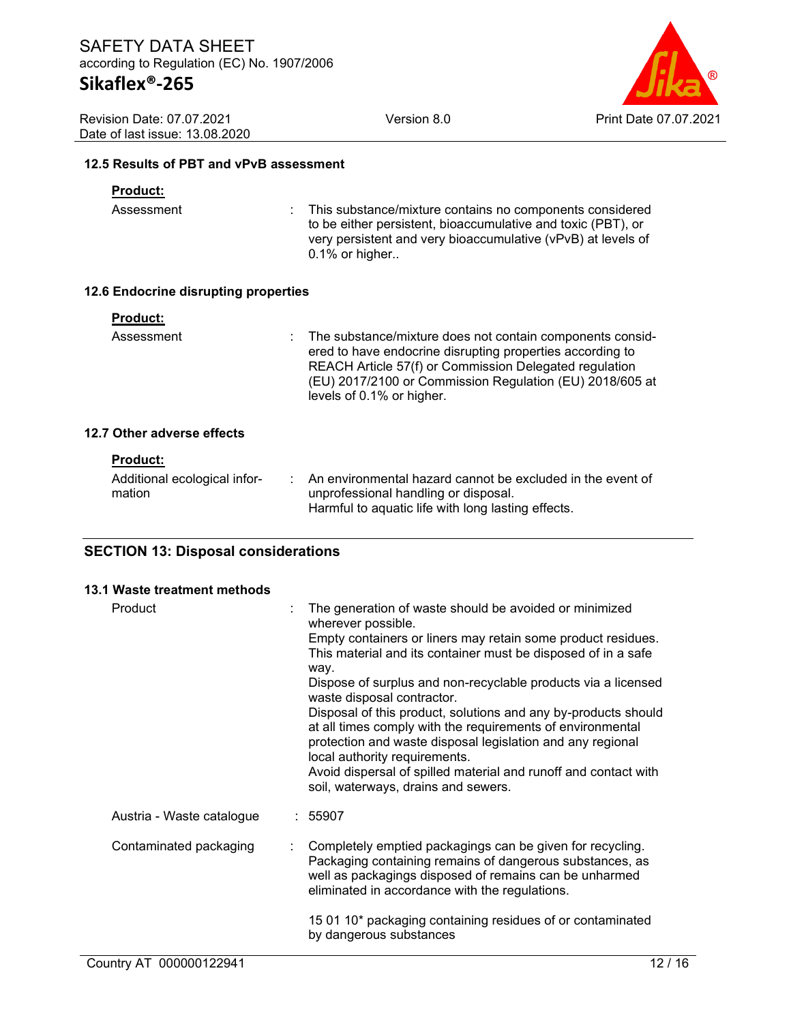Version 8.0 Print Date 07.07.2021

Revision Date: 07.07.2021 Date of last issue: 13.08.2020

#### **12.5 Results of PBT and vPvB assessment**

#### **Product:**

Assessment : This substance/mixture contains no components considered to be either persistent, bioaccumulative and toxic (PBT), or very persistent and very bioaccumulative (vPvB) at levels of 0.1% or higher..

#### **12.6 Endocrine disrupting properties**

| <b>Product:</b>                        |                                                                                                                                                                                                                                                                           |
|----------------------------------------|---------------------------------------------------------------------------------------------------------------------------------------------------------------------------------------------------------------------------------------------------------------------------|
| Assessment                             | The substance/mixture does not contain components consid-<br>ered to have endocrine disrupting properties according to<br>REACH Article 57(f) or Commission Delegated regulation<br>(EU) 2017/2100 or Commission Regulation (EU) 2018/605 at<br>levels of 0.1% or higher. |
| 12.7 Other adverse effects             |                                                                                                                                                                                                                                                                           |
| <b>Product:</b>                        |                                                                                                                                                                                                                                                                           |
| Additional ecological infor-<br>mation | : An environmental hazard cannot be excluded in the event of<br>unprofessional handling or disposal.                                                                                                                                                                      |

Harmful to aquatic life with long lasting effects.

# **SECTION 13: Disposal considerations**

#### **13.1 Waste treatment methods**

| Product                   | The generation of waste should be avoided or minimized<br>wherever possible.<br>Empty containers or liners may retain some product residues.<br>This material and its container must be disposed of in a safe<br>way.<br>Dispose of surplus and non-recyclable products via a licensed<br>waste disposal contractor.<br>Disposal of this product, solutions and any by-products should<br>at all times comply with the requirements of environmental<br>protection and waste disposal legislation and any regional<br>local authority requirements.<br>Avoid dispersal of spilled material and runoff and contact with<br>soil, waterways, drains and sewers. |
|---------------------------|---------------------------------------------------------------------------------------------------------------------------------------------------------------------------------------------------------------------------------------------------------------------------------------------------------------------------------------------------------------------------------------------------------------------------------------------------------------------------------------------------------------------------------------------------------------------------------------------------------------------------------------------------------------|
| Austria - Waste catalogue | : 55907                                                                                                                                                                                                                                                                                                                                                                                                                                                                                                                                                                                                                                                       |
| Contaminated packaging    | Completely emptied packagings can be given for recycling.<br>Packaging containing remains of dangerous substances, as<br>well as packagings disposed of remains can be unharmed<br>eliminated in accordance with the regulations.                                                                                                                                                                                                                                                                                                                                                                                                                             |
|                           | 15 01 10* packaging containing residues of or contaminated<br>by dangerous substances                                                                                                                                                                                                                                                                                                                                                                                                                                                                                                                                                                         |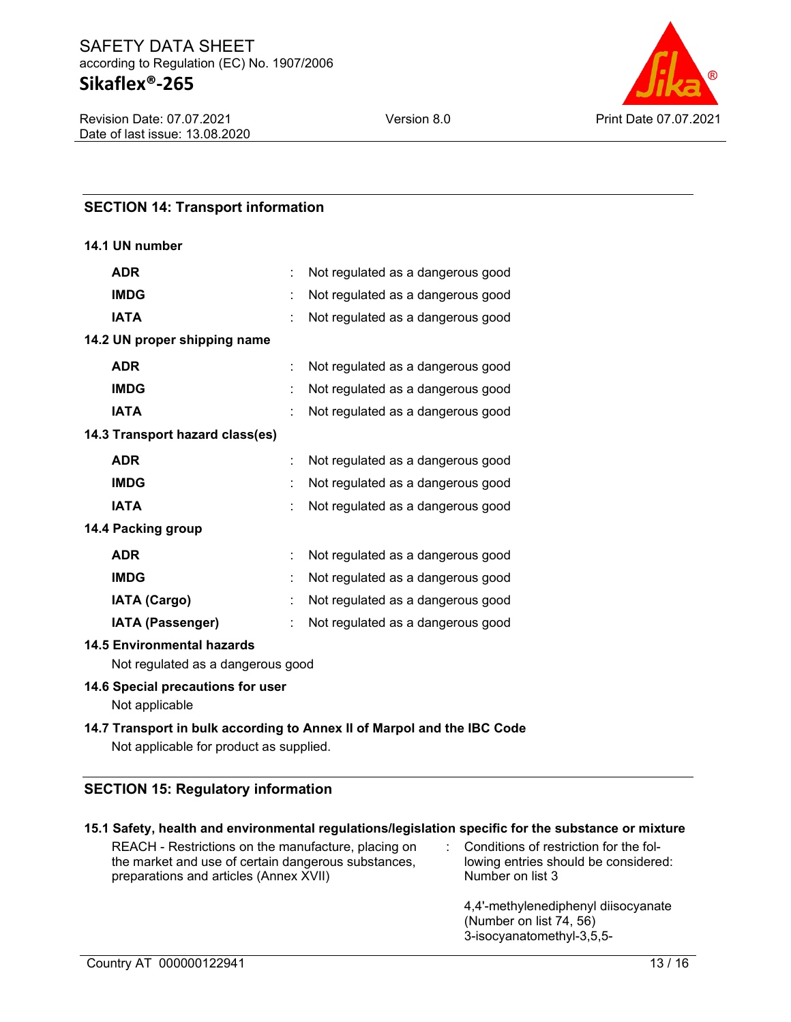# SAFETY DATA SHEET according to Regulation (EC) No. 1907/2006 **Sikaflex®-265**



# **SECTION 14: Transport information**

#### **14.1 UN number**

| <b>ADR</b>                      |   | Not regulated as a dangerous good |  |  |  |
|---------------------------------|---|-----------------------------------|--|--|--|
| <b>IMDG</b>                     |   | Not regulated as a dangerous good |  |  |  |
| <b>IATA</b>                     |   | Not regulated as a dangerous good |  |  |  |
| 14.2 UN proper shipping name    |   |                                   |  |  |  |
| <b>ADR</b>                      |   | Not regulated as a dangerous good |  |  |  |
| <b>IMDG</b>                     |   | Not regulated as a dangerous good |  |  |  |
| <b>IATA</b>                     |   | Not regulated as a dangerous good |  |  |  |
| 14.3 Transport hazard class(es) |   |                                   |  |  |  |
| <b>ADR</b>                      |   | Not regulated as a dangerous good |  |  |  |
| <b>IMDG</b>                     |   | Not regulated as a dangerous good |  |  |  |
| <b>IATA</b>                     |   | Not regulated as a dangerous good |  |  |  |
| 14.4 Packing group              |   |                                   |  |  |  |
| <b>ADR</b>                      | ÷ | Not regulated as a dangerous good |  |  |  |
| <b>IMDG</b>                     |   | Not regulated as a dangerous good |  |  |  |
| <b>IATA (Cargo)</b>             |   | Not regulated as a dangerous good |  |  |  |
| IATA (Passenger)                |   | Not regulated as a dangerous good |  |  |  |
| 11 E Environmentel hererde      |   |                                   |  |  |  |

#### **14.5 Environmental hazards**

Not regulated as a dangerous good

### **14.6 Special precautions for user**

Not applicable

# **14.7 Transport in bulk according to Annex II of Marpol and the IBC Code** Not applicable for product as supplied.

# **SECTION 15: Regulatory information**

| 15.1 Safety, health and environmental regulations/legislation specific for the substance or mixture |                                        |
|-----------------------------------------------------------------------------------------------------|----------------------------------------|
| REACH - Restrictions on the manufacture, placing on                                                 | Conditions of restriction for the fol- |
| the market and use of certain dangerous substances,                                                 | lowing entries should be considered:   |
| preparations and articles (Annex XVII)                                                              | Number on list 3                       |

4,4'-methylenediphenyl diisocyanate (Number on list 74, 56) 3-isocyanatomethyl-3,5,5-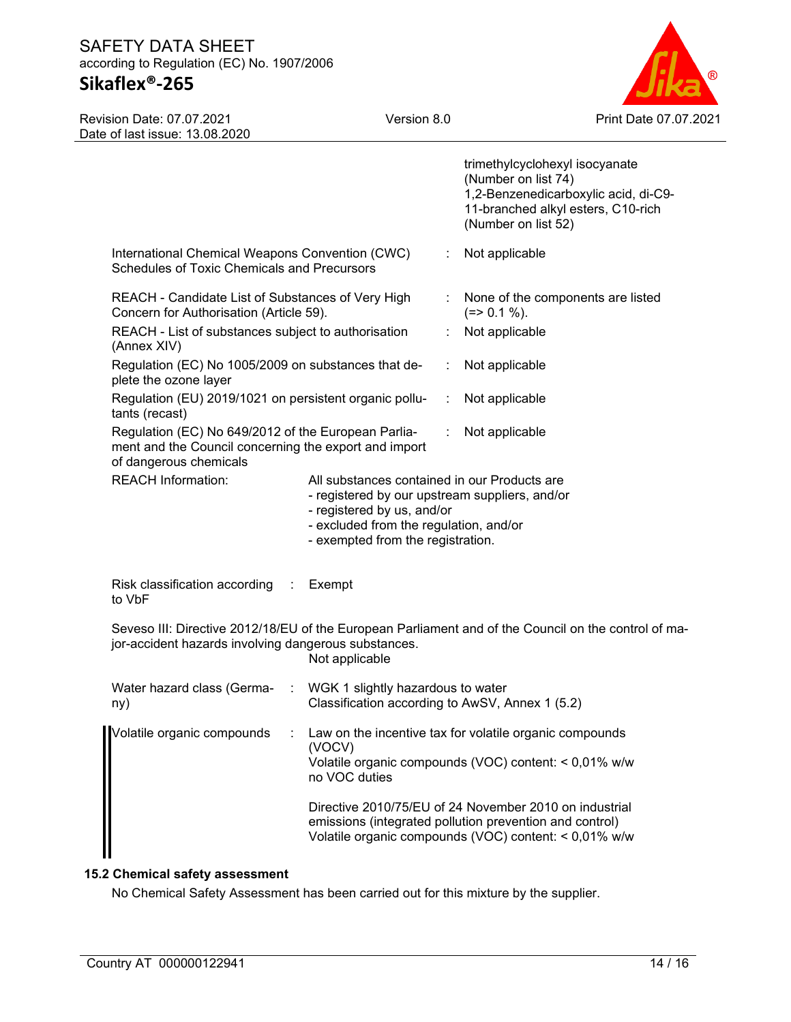# **Sikaflex®-265**

Version 8.0 Print Date 07.07.2021

| Revision Date: 07.07.2021      |  |
|--------------------------------|--|
| Date of last issue: 13.08.2020 |  |

|                                                                                                                                                                                |                                                                                                                                                                                                                    |                                                                                                                                                                                                             |                  | trimethylcyclohexyl isocyanate<br>(Number on list 74)<br>1,2-Benzenedicarboxylic acid, di-C9-<br>11-branched alkyl esters, C10-rich<br>(Number on list 52) |  |
|--------------------------------------------------------------------------------------------------------------------------------------------------------------------------------|--------------------------------------------------------------------------------------------------------------------------------------------------------------------------------------------------------------------|-------------------------------------------------------------------------------------------------------------------------------------------------------------------------------------------------------------|------------------|------------------------------------------------------------------------------------------------------------------------------------------------------------|--|
|                                                                                                                                                                                | International Chemical Weapons Convention (CWC)<br>Schedules of Toxic Chemicals and Precursors                                                                                                                     |                                                                                                                                                                                                             | ÷                | Not applicable                                                                                                                                             |  |
|                                                                                                                                                                                | REACH - Candidate List of Substances of Very High<br>Concern for Authorisation (Article 59).                                                                                                                       |                                                                                                                                                                                                             | $\mathbb{Z}^n$ . | None of the components are listed<br>$(=>0.1\%).$                                                                                                          |  |
|                                                                                                                                                                                | REACH - List of substances subject to authorisation<br>(Annex XIV)                                                                                                                                                 |                                                                                                                                                                                                             |                  | Not applicable                                                                                                                                             |  |
|                                                                                                                                                                                | Regulation (EC) No 1005/2009 on substances that de-<br>plete the ozone layer                                                                                                                                       |                                                                                                                                                                                                             |                  | Not applicable                                                                                                                                             |  |
|                                                                                                                                                                                | Regulation (EU) 2019/1021 on persistent organic pollu-<br>tants (recast)<br>Regulation (EC) No 649/2012 of the European Parlia-<br>ment and the Council concerning the export and import<br>of dangerous chemicals |                                                                                                                                                                                                             |                  | Not applicable                                                                                                                                             |  |
|                                                                                                                                                                                |                                                                                                                                                                                                                    |                                                                                                                                                                                                             |                  | Not applicable                                                                                                                                             |  |
|                                                                                                                                                                                | <b>REACH Information:</b>                                                                                                                                                                                          | All substances contained in our Products are<br>- registered by our upstream suppliers, and/or<br>- registered by us, and/or<br>- excluded from the regulation, and/or<br>- exempted from the registration. |                  |                                                                                                                                                            |  |
|                                                                                                                                                                                | Risk classification according<br>$\sim$<br>to VbF                                                                                                                                                                  | Exempt                                                                                                                                                                                                      |                  |                                                                                                                                                            |  |
| Seveso III: Directive 2012/18/EU of the European Parliament and of the Council on the control of ma-<br>jor-accident hazards involving dangerous substances.<br>Not applicable |                                                                                                                                                                                                                    |                                                                                                                                                                                                             |                  |                                                                                                                                                            |  |
|                                                                                                                                                                                | Water hazard class (Germa-<br>ny)                                                                                                                                                                                  | : WGK 1 slightly hazardous to water<br>Classification according to AwSV, Annex 1 (5.2)                                                                                                                      |                  |                                                                                                                                                            |  |
|                                                                                                                                                                                | Volatile organic compounds                                                                                                                                                                                         | Law on the incentive tax for volatile organic compounds<br>(VOCV)<br>Volatile organic compounds (VOC) content: < 0,01% w/w<br>no VOC duties                                                                 |                  |                                                                                                                                                            |  |
|                                                                                                                                                                                |                                                                                                                                                                                                                    | Directive 2010/75/EU of 24 November 2010 on industrial<br>emissions (integrated pollution prevention and control)<br>Volatile organic compounds (VOC) content: < 0,01% w/w                                  |                  |                                                                                                                                                            |  |

# **15.2 Chemical safety assessment**

No Chemical Safety Assessment has been carried out for this mixture by the supplier.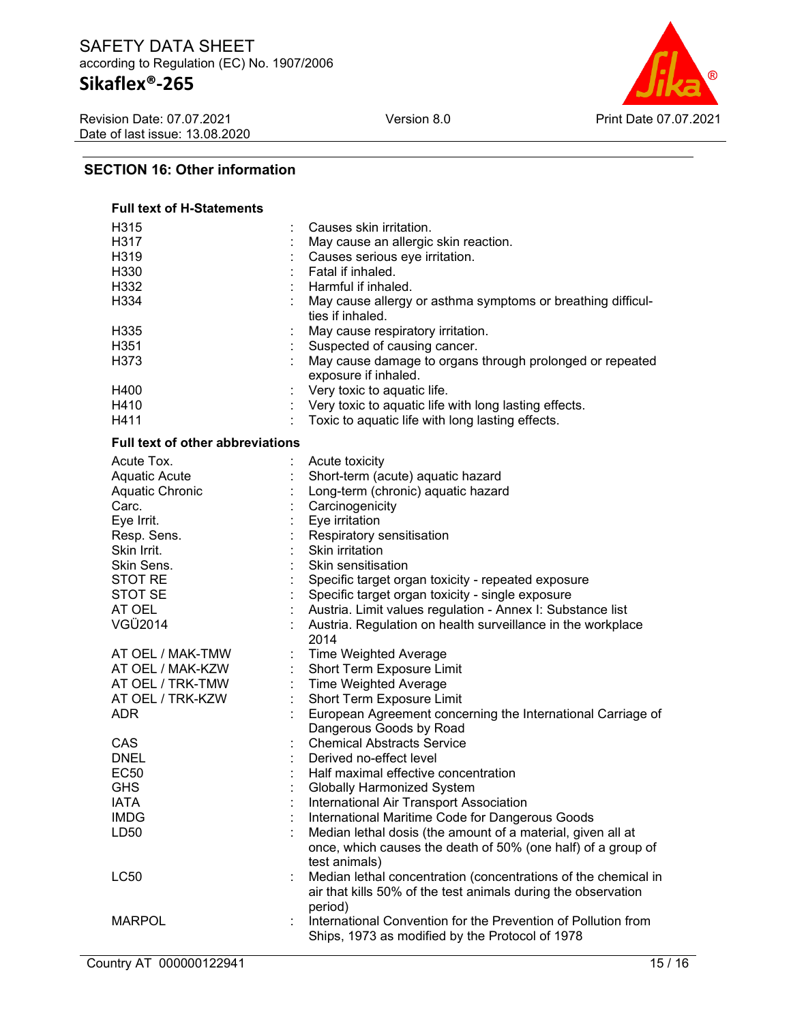# **Sikaflex®-265**

Revision Date: 07.07.2021 Date of last issue: 13.08.2020



# **SECTION 16: Other information**

| <b>Full text of H-Statements</b>        |                                                                                        |
|-----------------------------------------|----------------------------------------------------------------------------------------|
| H315                                    | Causes skin irritation.                                                                |
| H317                                    | May cause an allergic skin reaction.                                                   |
| H319                                    | Causes serious eye irritation.                                                         |
| H330                                    | Fatal if inhaled.                                                                      |
| H332                                    | Harmful if inhaled.                                                                    |
| H334                                    | May cause allergy or asthma symptoms or breathing difficul-<br>ties if inhaled.        |
| H <sub>335</sub>                        | May cause respiratory irritation.                                                      |
| H <sub>351</sub>                        | Suspected of causing cancer.                                                           |
| H373                                    | May cause damage to organs through prolonged or repeated<br>exposure if inhaled.       |
| H400                                    | Very toxic to aquatic life.                                                            |
| H410                                    | Very toxic to aquatic life with long lasting effects.                                  |
| H411                                    | Toxic to aquatic life with long lasting effects.                                       |
| <b>Full text of other abbreviations</b> |                                                                                        |
| Acute Tox.                              | Acute toxicity                                                                         |
| <b>Aquatic Acute</b>                    | Short-term (acute) aquatic hazard                                                      |
| Aquatic Chronic                         | Long-term (chronic) aquatic hazard                                                     |
| Carc.                                   | Carcinogenicity                                                                        |
| Eye Irrit.                              | Eye irritation                                                                         |
| Resp. Sens.                             | Respiratory sensitisation                                                              |
| Skin Irrit.                             | Skin irritation                                                                        |
| Skin Sens.                              | Skin sensitisation                                                                     |
| STOT RE                                 | Specific target organ toxicity - repeated exposure                                     |
| STOT SE                                 | Specific target organ toxicity - single exposure                                       |
| AT OEL                                  | Austria. Limit values regulation - Annex I: Substance list                             |
| VGÜ2014                                 | Austria. Regulation on health surveillance in the workplace                            |
|                                         | 2014                                                                                   |
| AT OEL / MAK-TMW                        | Time Weighted Average                                                                  |
| AT OEL / MAK-KZW                        | Short Term Exposure Limit                                                              |
| AT OEL / TRK-TMW                        | <b>Time Weighted Average</b>                                                           |
| AT OEL / TRK-KZW                        | Short Term Exposure Limit                                                              |
| <b>ADR</b>                              | European Agreement concerning the International Carriage of<br>Dangerous Goods by Road |
| CAS                                     | <b>Chemical Abstracts Service</b>                                                      |
| <b>DNEL</b>                             | Derived no-effect level                                                                |
| <b>EC50</b>                             | Half maximal effective concentration                                                   |
| <b>GHS</b>                              | <b>Globally Harmonized System</b>                                                      |
| <b>IATA</b>                             | International Air Transport Association                                                |
| <b>IMDG</b>                             | International Maritime Code for Dangerous Goods                                        |
| LD50                                    | Median lethal dosis (the amount of a material, given all at                            |
|                                         | once, which causes the death of 50% (one half) of a group of<br>test animals)          |
| <b>LC50</b>                             | Median lethal concentration (concentrations of the chemical in                         |
|                                         | air that kills 50% of the test animals during the observation                          |
|                                         | period)                                                                                |
| <b>MARPOL</b>                           | International Convention for the Prevention of Pollution from                          |
|                                         | Ships, 1973 as modified by the Protocol of 1978                                        |